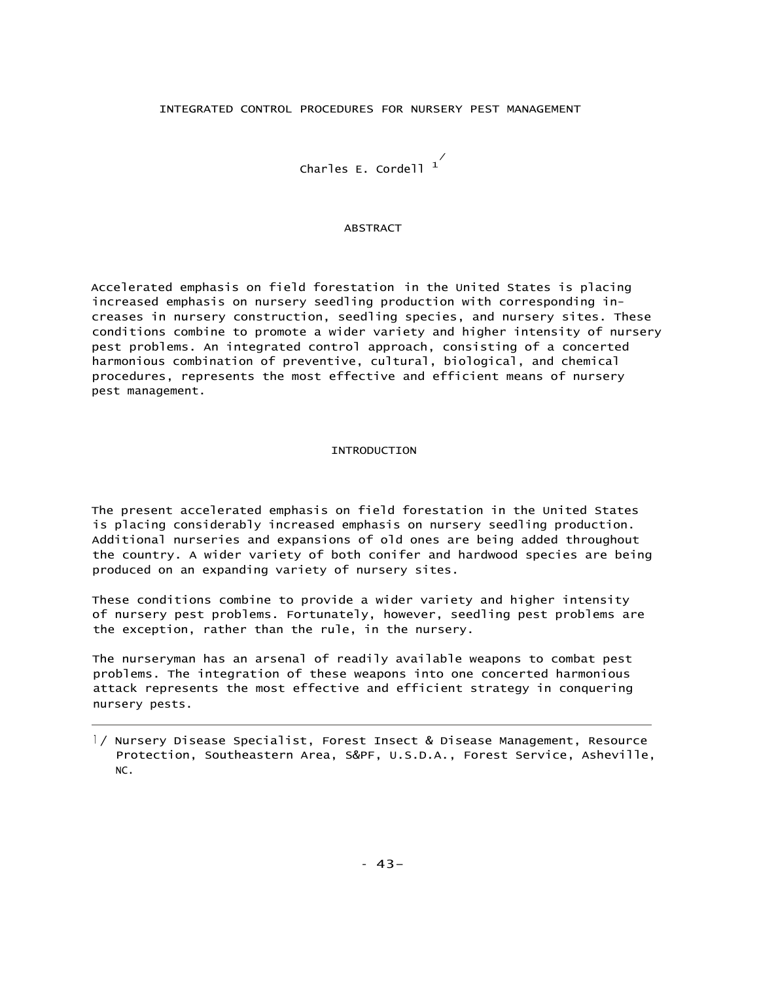### INTEGRATED CONTROL PROCEDURES FOR NURSERY PEST MANAGEMENT

 $\overline{\phantom{a}}^{\prime}$ Charles E. Cordell  $\overline{\phantom{a}}^{\prime}$ 

#### ABSTRACT

Accelerated emphasis on field forestation in the United States is placing increased emphasis on nursery seedling production with corresponding increases in nursery construction, seedling species, and nursery sites. These conditions combine to promote a wider variety and higher intensity of nursery pest problems. An integrated control approach, consisting of a concerted harmonious combination of preventive, cultural, biological, and chemical procedures, represents the most effective and efficient means of nursery pest management.

#### INTRODUCTION

The present accelerated emphasis on field forestation in the United States is placing considerably increased emphasis on nursery seedling production. Additional nurseries and expansions of old ones are being added throughout the country. A wider variety of both conifer and hardwood species are being produced on an expanding variety of nursery sites.

These conditions combine to provide a wider variety and higher intensity of nursery pest problems. Fortunately, however, seedling pest problems are the exception, rather than the rule, in the nursery.

The nurseryman has an arsenal of readily available weapons to combat pest problems. The integration of these weapons into one concerted harmonious attack represents the most effective and efficient strategy in conquering nursery pests.

<sup>l</sup> / Nursery Disease Specialist, Forest Insect & Disease Management, Resource Protection, Southeastern Area, S&PF, U.S.D.A., Forest Service, Asheville, NC.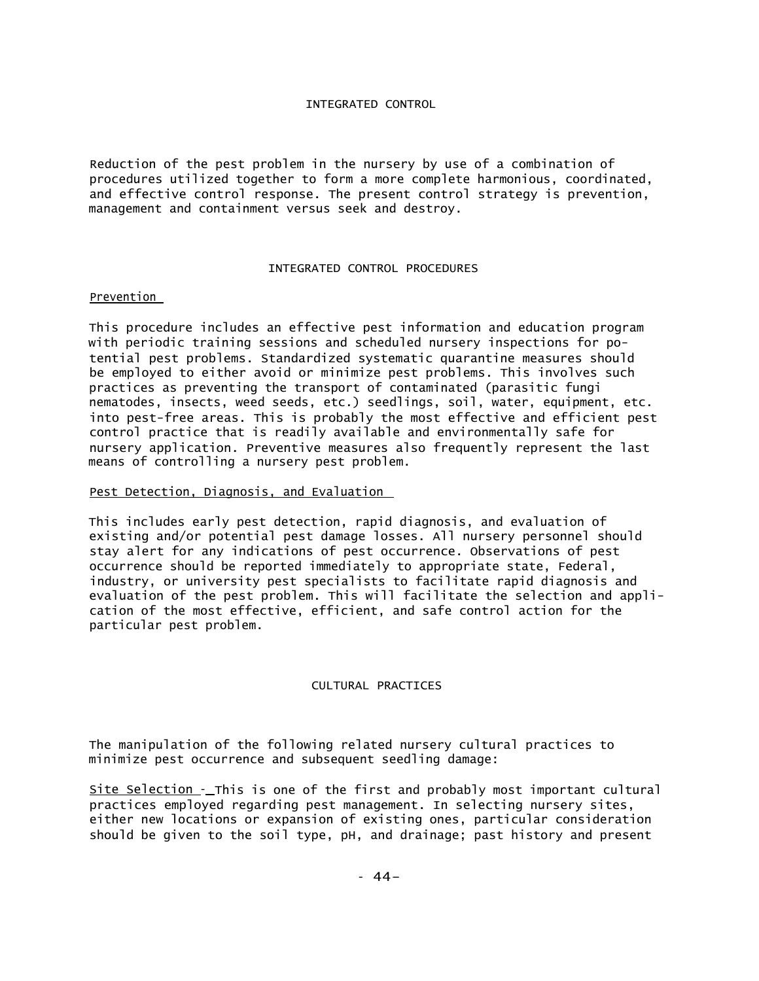## INTEGRATED CONTROL

Reduction of the pest problem in the nursery by use of a combination of procedures utilized together to form a more complete harmonious, coordinated, and effective control response. The present control strategy is prevention, management and containment versus seek and destroy.

# INTEGRATED CONTROL PROCEDURES

# Prevention

This procedure includes an effective pest information and education program with periodic training sessions and scheduled nursery inspections for potential pest problems. Standardized systematic quarantine measures should be employed to either avoid or minimize pest problems. This involves such practices as preventing the transport of contaminated (parasitic fungi nematodes, insects, weed seeds, etc.) seedlings, soil, water, equipment, etc. into pest-free areas. This is probably the most effective and efficient pest control practice that is readily available and environmentally safe for nursery application. Preventive measures also frequently represent the last means of controlling a nursery pest problem.

# Pest Detection, Diagnosis, and Evaluation

This includes early pest detection, rapid diagnosis, and evaluation of existing and/or potential pest damage losses. All nursery personnel should stay alert for any indications of pest occurrence. Observations of pest occurrence should be reported immediately to appropriate state, Federal, industry, or university pest specialists to facilitate rapid diagnosis and evaluation of the pest problem. This will facilitate the selection and application of the most effective, efficient, and safe control action for the particular pest problem.

## CULTURAL PRACTICES

The manipulation of the following related nursery cultural practices to minimize pest occurrence and subsequent seedling damage:

Site Selection -\_ This is one of the first and probably most important cultural practices employed regarding pest management. In selecting nursery sites, either new locations or expansion of existing ones, particular consideration should be given to the soil type, pH, and drainage; past history and present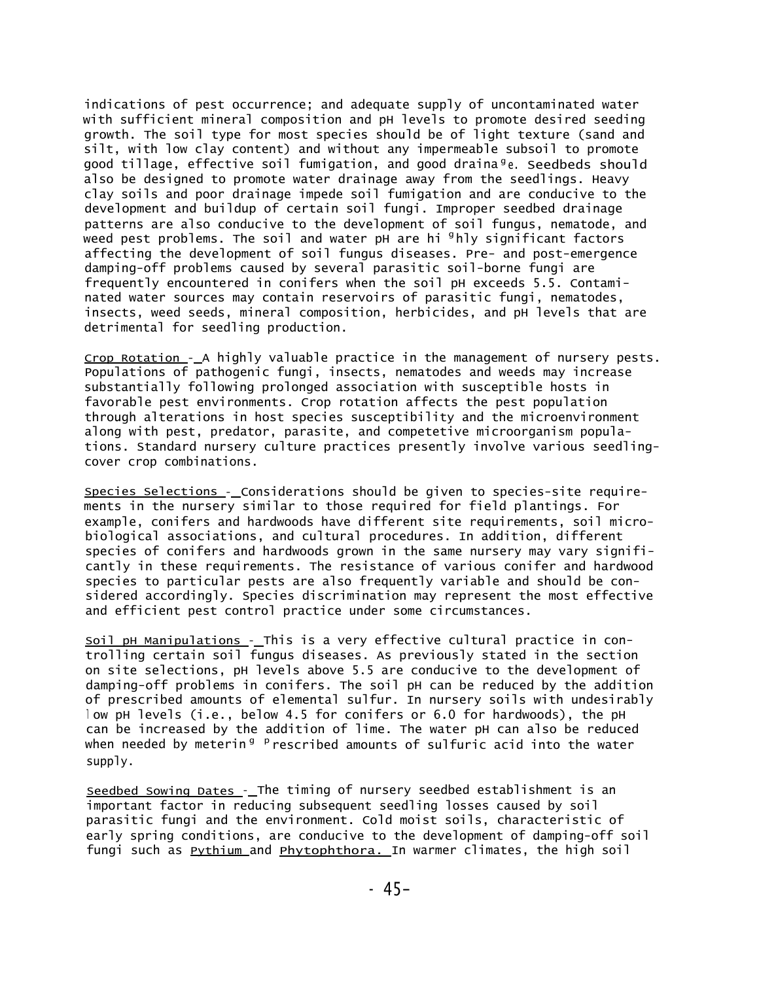indications of pest occurrence; and adequate supply of uncontaminated water with sufficient mineral composition and pH levels to promote desired seeding growth. The soil type for most species should be of light texture (sand and silt, with low clay content) and without any impermeable subsoil to promote good tillage, effective soil fumigation, and good draina<sup>g</sup>e. Seedbeds should also be designed to promote water drainage away from the seedlings. Heavy clay soils and poor drainage impede soil fumigation and are conducive to the development and buildup of certain soil fungi. Improper seedbed drainage patterns are also conducive to the development of soil fungus, nematode, and weed pest problems. The soil and water pH are hi <sup>g</sup>hly significant factors affecting the development of soil fungus diseases. Pre- and post-emergence damping-off problems caused by several parasitic soil-borne fungi are frequently encountered in conifers when the soil pH exceeds 5.5. Contaminated water sources may contain reservoirs of parasitic fungi, nematodes, insects, weed seeds, mineral composition, herbicides, and pH levels that are detrimental for seedling production.

Crop Rotation - A highly valuable practice in the management of nursery pests. Populations of pathogenic fungi, insects, nematodes and weeds may increase substantially following prolonged association with susceptible hosts in favorable pest environments. Crop rotation affects the pest population through alterations in host species susceptibility and the microenvironment along with pest, predator, parasite, and competetive microorganism populations. Standard nursery culture practices presently involve various seedlingcover crop combinations.

Species Selections - Considerations should be given to species-site requirements in the nursery similar to those required for field plantings. For example, conifers and hardwoods have different site requirements, soil microbiological associations, and cultural procedures. In addition, different species of conifers and hardwoods grown in the same nursery may vary significantly in these requirements. The resistance of various conifer and hardwood species to particular pests are also frequently variable and should be considered accordingly. Species discrimination may represent the most effective and efficient pest control practice under some circumstances.

Soil pH Manipulations - This is a very effective cultural practice in controlling certain soil fungus diseases. As previously stated in the section on site selections, pH levels above 5.5 are conducive to the development of damping-off problems in conifers. The soil pH can be reduced by the addition of prescribed amounts of elemental sulfur. In nursery soils with undesirably <sup>l</sup> ow pH levels (i.e., below 4.5 for conifers or 6.0 for hardwoods), the pH can be increased by the addition of lime. The water pH can also be reduced when needed by meterin<sup>g p</sup>rescribed amounts of sulfuric acid into the water supply.

Seedbed Sowing Dates - The timing of nursery seedbed establishment is an important factor in reducing subsequent seedling losses caused by soil parasitic fungi and the environment. Cold moist soils, characteristic of early spring conditions, are conducive to the development of damping-off soil fungi such as **Pythium** and **Phytophthora**. In warmer climates, the high soil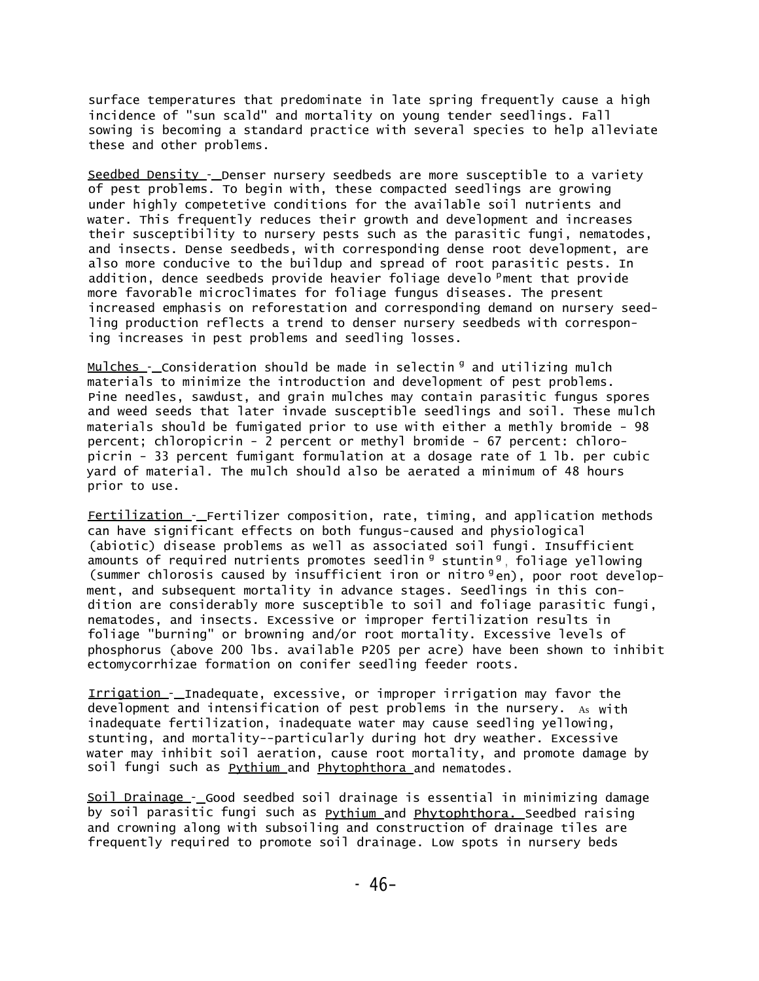surface temperatures that predominate in late spring frequently cause a high incidence of "sun scald" and mortality on young tender seedlings. Fall sowing is becoming a standard practice with several species to help alleviate these and other problems.

Seedbed Density - Denser nursery seedbeds are more susceptible to a variety of pest problems. To begin with, these compacted seedlings are growing under highly competetive conditions for the available soil nutrients and water. This frequently reduces their growth and development and increases their susceptibility to nursery pests such as the parasitic fungi, nematodes, and insects. Dense seedbeds, with corresponding dense root development, are also more conducive to the buildup and spread of root parasitic pests. In addition, dence seedbeds provide heavier foliage develo <sup>p</sup>ment that provide more favorable microclimates for foliage fungus diseases. The present increased emphasis on reforestation and corresponding demand on nursery seedling production reflects a trend to denser nursery seedbeds with corresponing increases in pest problems and seedling losses.

Mulches - Consideration should be made in selectin <sup>g</sup> and utilizing mulch materials to minimize the introduction and development of pest problems. Pine needles, sawdust, and grain mulches may contain parasitic fungus spores and weed seeds that later invade susceptible seedlings and soil. These mulch materials should be fumigated prior to use with either a methly bromide - 98 percent; chloropicrin - 2 percent or methyl bromide - 67 percent: chloropicrin - 33 percent fumigant formulation at a dosage rate of 1 lb. per cubic yard of material. The mulch should also be aerated a minimum of 48 hours prior to use.

**Fertilization** - Fertilizer composition, rate, timing, and application methods can have significant effects on both fungus-caused and physiological (abiotic) disease problems as well as associated soil fungi. Insufficient amounts of required nutrients promotes seedlin <sup>g</sup> stuntin <sup>g</sup>, foliage yellowing (summer chlorosis caused by insufficient iron or nitro <sup>g</sup>en), poor root development, and subsequent mortality in advance stages. Seedlings in this condition are considerably more susceptible to soil and foliage parasitic fungi, nematodes, and insects. Excessive or improper fertilization results in foliage "burning" or browning and/or root mortality. Excessive levels of phosphorus (above 200 lbs. available P205 per acre) have been shown to inhibit ectomycorrhizae formation on conifer seedling feeder roots.

Irrigation - Inadequate, excessive, or improper irrigation may favor the development and intensification of pest problems in the nursery. As with inadequate fertilization, inadequate water may cause seedling yellowing, stunting, and mortality--particularly during hot dry weather. Excessive water may inhibit soil aeration, cause root mortality, and promote damage by soil fungi such as <u>Pythium a</u>nd <u>Phytophthora a</u>nd nematodes.

Soil Drainage - Good seedbed soil drainage is essential in minimizing damage by soil parasitic fungi such as **Pythium** and Phytophthora. Seedbed raising and crowning along with subsoiling and construction of drainage tiles are frequently required to promote soil drainage. Low spots in nursery beds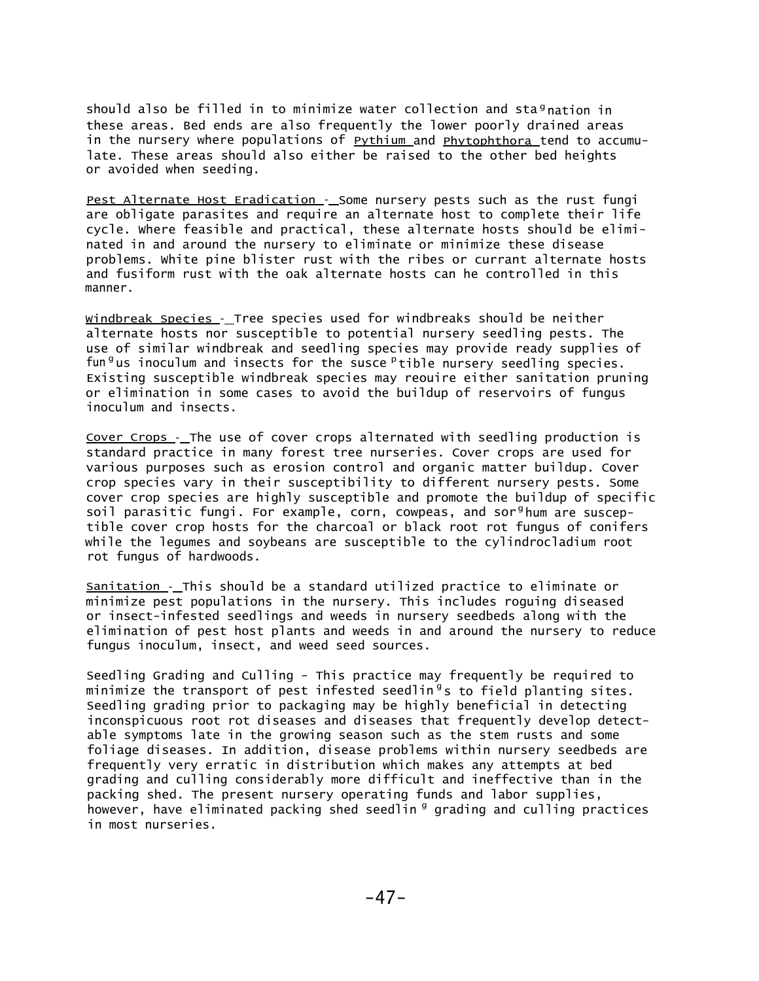should also be filled in to minimize water collection and sta<sup>g</sup> nation in these areas. Bed ends are also frequently the lower poorly drained areas in the nursery where populations of **Pythium** and **Phytophthora** tend to accumulate. These areas should also either be raised to the other bed heights or avoided when seeding.

Pest Alternate Host Eradication - Some nursery pests such as the rust fungi are obligate parasites and require an alternate host to complete their life cycle. Where feasible and practical, these alternate hosts should be eliminated in and around the nursery to eliminate or minimize these disease problems. White pine blister rust with the ribes or currant alternate hosts and fusiform rust with the oak alternate hosts can he controlled in this manner.

Windbreak Species - Tree species used for windbreaks should be neither alternate hosts nor susceptible to potential nursery seedling pests. The use of similar windbreak and seedling species may provide ready supplies of fun <sup>g</sup>us inoculum and insects for the susce <sup>p</sup>tible nursery seedling species. Existing susceptible windbreak species may reouire either sanitation pruning or elimination in some cases to avoid the buildup of reservoirs of fungus inoculum and insects.

Cover Crops - The use of cover crops alternated with seedling production is standard practice in many forest tree nurseries. Cover crops are used for various purposes such as erosion control and organic matter buildup. Cover crop species vary in their susceptibility to different nursery pests. Some cover crop species are highly susceptible and promote the buildup of specific soil parasitic fungi. For example, corn, cowpeas, and sor<sup>g</sup>hum are susceptible cover crop hosts for the charcoal or black root rot fungus of conifers while the legumes and soybeans are susceptible to the cylindrocladium root rot fungus of hardwoods.

Sanitation - This should be a standard utilized practice to eliminate or minimize pest populations in the nursery. This includes roguing diseased or insect-infested seedlings and weeds in nursery seedbeds along with the elimination of pest host plants and weeds in and around the nursery to reduce fungus inoculum, insect, and weed seed sources.

Seedling Grading and Culling - This practice may frequently be required to minimize the transport of pest infested seedlin $^{\circ}$ s to field planting sites. Seedling grading prior to packaging may be highly beneficial in detecting inconspicuous root rot diseases and diseases that frequently develop detectable symptoms late in the growing season such as the stem rusts and some foliage diseases. In addition, disease problems within nursery seedbeds are frequently very erratic in distribution which makes any attempts at bed grading and culling considerably more difficult and ineffective than in the packing shed. The present nursery operating funds and labor supplies, however, have eliminated packing shed seedlin <sup>g</sup> grading and culling practices in most nurseries.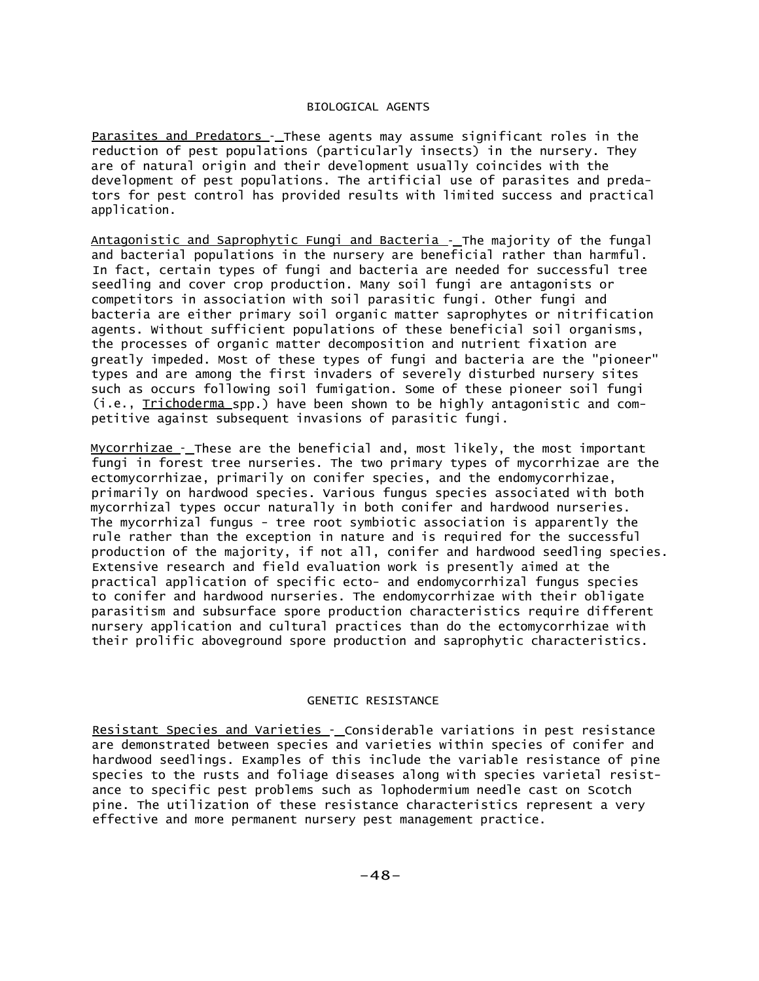## BIOLOGICAL AGENTS

Parasites and Predators -\_ These agents may assume significant roles in the reduction of pest populations (particularly insects) in the nursery. They are of natural origin and their development usually coincides with the development of pest populations. The artificial use of parasites and predators for pest control has provided results with limited success and practical application.

Antagonistic and Saprophytic Fungi and Bacteria - The majority of the fungal and bacterial populations in the nursery are beneficial rather than harmful. In fact, certain types of fungi and bacteria are needed for successful tree seedling and cover crop production. Many soil fungi are antagonists or competitors in association with soil parasitic fungi. Other fungi and bacteria are either primary soil organic matter saprophytes or nitrification agents. Without sufficient populations of these beneficial soil organisms, the processes of organic matter decomposition and nutrient fixation are greatly impeded. Most of these types of fungi and bacteria are the "pioneer" types and are among the first invaders of severely disturbed nursery sites such as occurs following soil fumigation. Some of these pioneer soil fungi (i.e., Trichoderma spp.) have been shown to be highly antagonistic and competitive against subsequent invasions of parasitic fungi.

Mycorrhizae - These are the beneficial and, most likely, the most important fungi in forest tree nurseries. The two primary types of mycorrhizae are the ectomycorrhizae, primarily on conifer species, and the endomycorrhizae, primarily on hardwood species. Various fungus species associated with both mycorrhizal types occur naturally in both conifer and hardwood nurseries. The mycorrhizal fungus - tree root symbiotic association is apparently the rule rather than the exception in nature and is required for the successful production of the majority, if not all, conifer and hardwood seedling species. Extensive research and field evaluation work is presently aimed at the practical application of specific ecto- and endomycorrhizal fungus species to conifer and hardwood nurseries. The endomycorrhizae with their obligate parasitism and subsurface spore production characteristics require different nursery application and cultural practices than do the ectomycorrhizae with their prolific aboveground spore production and saprophytic characteristics.

### GENETIC RESISTANCE

Resistant Species and Varieties - Considerable variations in pest resistance are demonstrated between species and varieties within species of conifer and hardwood seedlings. Examples of this include the variable resistance of pine species to the rusts and foliage diseases along with species varietal resistance to specific pest problems such as lophodermium needle cast on Scotch pine. The utilization of these resistance characteristics represent a very effective and more permanent nursery pest management practice.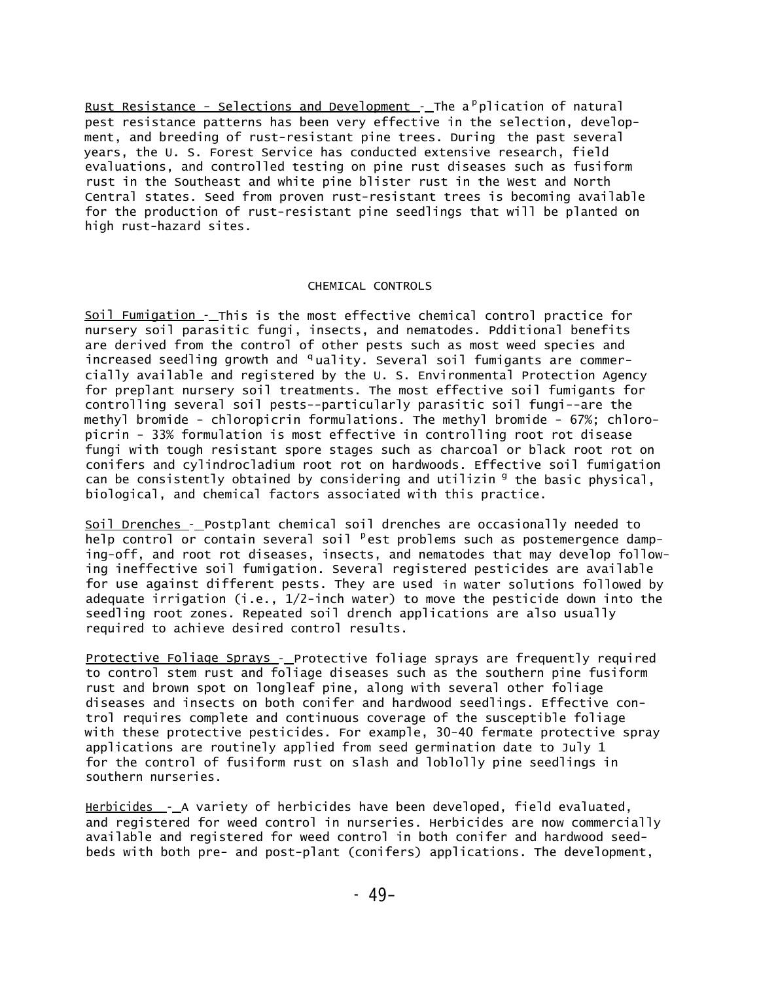Rust Resistance - Selections and Development - The a<sup>p</sup>plication of natural pest resistance patterns has been very effective in the selection, development, and breeding of rust-resistant pine trees. During the past several years, the U. S. Forest Service has conducted extensive research, field evaluations, and controlled testing on pine rust diseases such as fusiform rust in the Southeast and white pine blister rust in the West and North Central states. Seed from proven rust-resistant trees is becoming available for the production of rust-resistant pine seedlings that will be planted on high rust-hazard sites.

# CHEMICAL CONTROLS

Soil Fumigation - This is the most effective chemical control practice for nursery soil parasitic fungi, insects, and nematodes. Pdditional benefits are derived from the control of other pests such as most weed species and increased seedling growth and <sup>q</sup>uality. Several soil fumigants are commercially available and registered by the U. S. Environmental Protection Agency for preplant nursery soil treatments. The most effective soil fumigants for controlling several soil pests--particularly parasitic soil fungi--are the methyl bromide - chloropicrin formulations. The methyl bromide - 67%; chloropicrin - 33% formulation is most effective in controlling root rot disease fungi with tough resistant spore stages such as charcoal or black root rot on conifers and cylindrocladium root rot on hardwoods. Effective soil fumigation can be consistently obtained by considering and utilizin <sup>g</sup> the basic physical, biological, and chemical factors associated with this practice.

Soil Drenches - Postplant chemical soil drenches are occasionally needed to help control or contain several soil <sup>p</sup>est problems such as postemergence damping-off, and root rot diseases, insects, and nematodes that may develop following ineffective soil fumigation. Several registered pesticides are available for use against different pests. They are used in water solutions followed by adequate irrigation (i.e.,  $1/2$ -inch water) to move the pesticide down into the seedling root zones. Repeated soil drench applications are also usually required to achieve desired control results.

Protective Foliage Sprays - Protective foliage sprays are frequently required to control stem rust and foliage diseases such as the southern pine fusiform rust and brown spot on longleaf pine, along with several other foliage diseases and insects on both conifer and hardwood seedlings. Effective control requires complete and continuous coverage of the susceptible foliage with these protective pesticides. For example, 30-40 fermate protective spray applications are routinely applied from seed germination date to July 1 for the control of fusiform rust on slash and loblolly pine seedlings in southern nurseries.

Herbicides  $-$  A variety of herbicides have been developed, field evaluated, and registered for weed control in nurseries. Herbicides are now commercially available and registered for weed control in both conifer and hardwood seedbeds with both pre- and post-plant (conifers) applications. The development,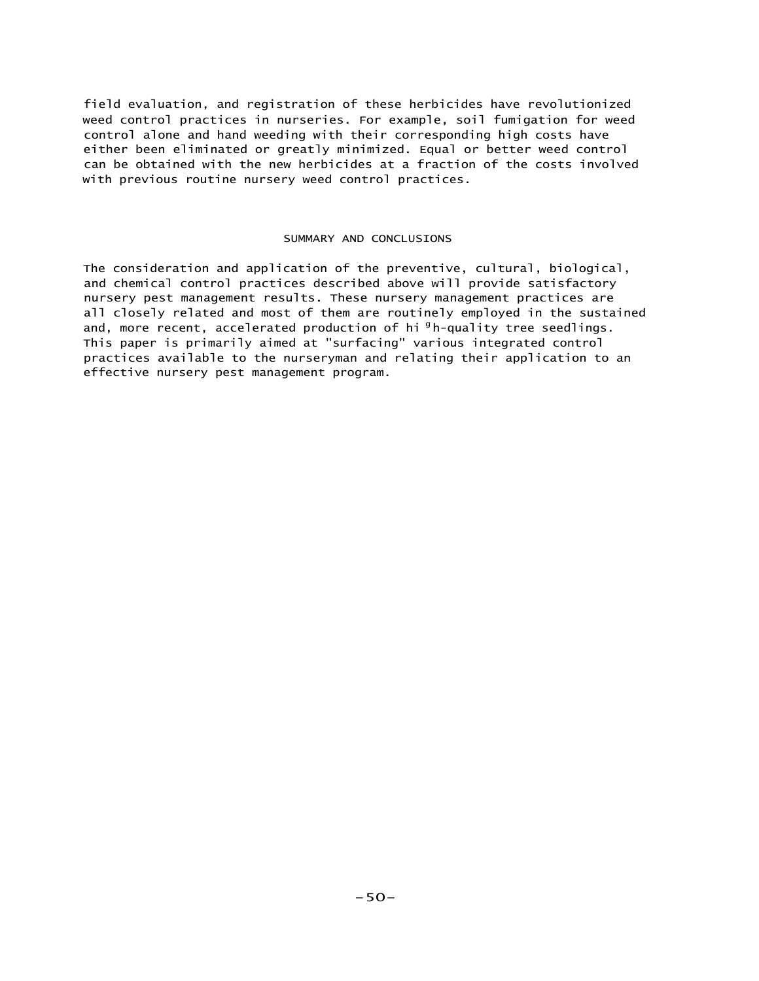field evaluation, and registration of these herbicides have revolutionized weed control practices in nurseries. For example, soil fumigation for weed control alone and hand weeding with their corresponding high costs have either been eliminated or greatly minimized. Equal or better weed control can be obtained with the new herbicides at a fraction of the costs involved with previous routine nursery weed control practices.

#### SUMMARY AND CONCLUSIONS

The consideration and application of the preventive, cultural, biological, and chemical control practices described above will provide satisfactory nursery pest management results. These nursery management practices are all closely related and most of them are routinely employed in the sustained and, more recent, accelerated production of hi<sup>g</sup>h-quality tree seedlings. This paper is primarily aimed at "surfacing" various integrated control practices available to the nurseryman and relating their application to an effective nursery pest management program.